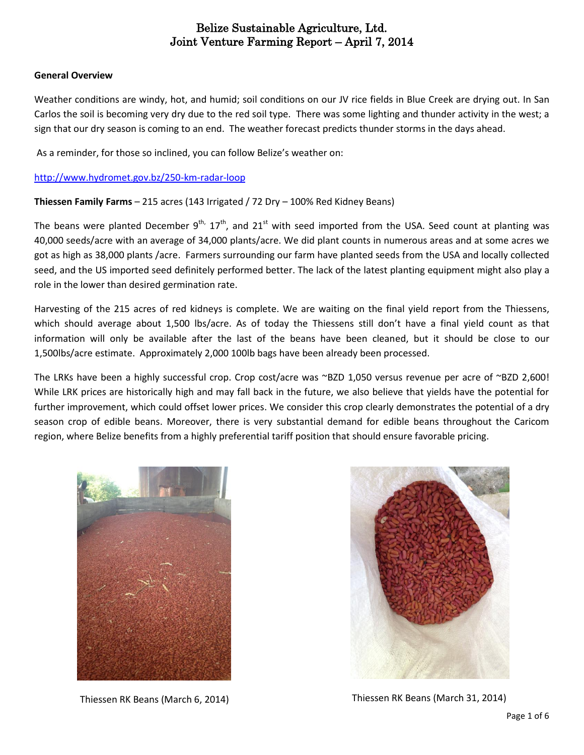### **General Overview**

Weather conditions are windy, hot, and humid; soil conditions on our JV rice fields in Blue Creek are drying out. In San Carlos the soil is becoming very dry due to the red soil type. There was some lighting and thunder activity in the west; a sign that our dry season is coming to an end. The weather forecast predicts thunder storms in the days ahead.

As a reminder, for those so inclined, you can follow Belize's weather on:

### <http://www.hydromet.gov.bz/250-km-radar-loop>

**Thiessen Family Farms** – 215 acres (143 Irrigated / 72 Dry – 100% Red Kidney Beans)

The beans were planted December 9<sup>th,</sup> 17<sup>th</sup>, and 21<sup>st</sup> with seed imported from the USA. Seed count at planting was 40,000 seeds/acre with an average of 34,000 plants/acre. We did plant counts in numerous areas and at some acres we got as high as 38,000 plants /acre. Farmers surrounding our farm have planted seeds from the USA and locally collected seed, and the US imported seed definitely performed better. The lack of the latest planting equipment might also play a role in the lower than desired germination rate.

Harvesting of the 215 acres of red kidneys is complete. We are waiting on the final yield report from the Thiessens, which should average about 1,500 lbs/acre. As of today the Thiessens still don't have a final yield count as that information will only be available after the last of the beans have been cleaned, but it should be close to our 1,500lbs/acre estimate. Approximately 2,000 100lb bags have been already been processed.

The LRKs have been a highly successful crop. Crop cost/acre was ~BZD 1,050 versus revenue per acre of ~BZD 2,600! While LRK prices are historically high and may fall back in the future, we also believe that yields have the potential for further improvement, which could offset lower prices. We consider this crop clearly demonstrates the potential of a dry season crop of edible beans. Moreover, there is very substantial demand for edible beans throughout the Caricom region, where Belize benefits from a highly preferential tariff position that should ensure favorable pricing.



Thiessen RK Beans (March 6, 2014) Thiessen RK Beans (March 31, 2014)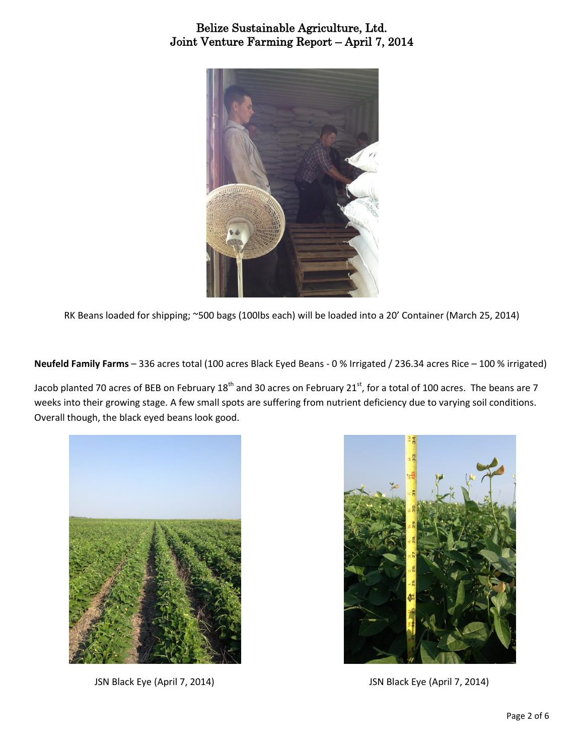

RK Beans loaded for shipping; ~500 bags (100lbs each) will be loaded into a 20' Container (March 25, 2014)

**Neufeld Family Farms** – 336 acres total (100 acres Black Eyed Beans - 0 % Irrigated / 236.34 acres Rice – 100 % irrigated)

Jacob planted 70 acres of BEB on February 18<sup>th</sup> and 30 acres on February 21<sup>st</sup>, for a total of 100 acres. The beans are 7 weeks into their growing stage. A few small spots are suffering from nutrient deficiency due to varying soil conditions. Overall though, the black eyed beans look good.



JSN Black Eye (April 7, 2014) JSN Black Eye (April 7, 2014)

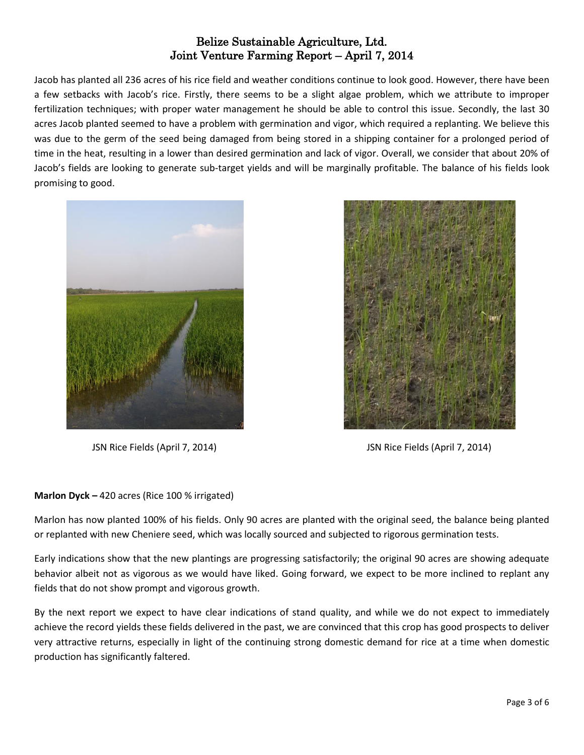Jacob has planted all 236 acres of his rice field and weather conditions continue to look good. However, there have been a few setbacks with Jacob's rice. Firstly, there seems to be a slight algae problem, which we attribute to improper fertilization techniques; with proper water management he should be able to control this issue. Secondly, the last 30 acres Jacob planted seemed to have a problem with germination and vigor, which required a replanting. We believe this was due to the germ of the seed being damaged from being stored in a shipping container for a prolonged period of time in the heat, resulting in a lower than desired germination and lack of vigor. Overall, we consider that about 20% of Jacob's fields are looking to generate sub-target yields and will be marginally profitable. The balance of his fields look promising to good.





JSN Rice Fields (April 7, 2014) JSN Rice Fields (April 7, 2014)

## **Marlon Dyck –** 420 acres (Rice 100 % irrigated)

Marlon has now planted 100% of his fields. Only 90 acres are planted with the original seed, the balance being planted or replanted with new Cheniere seed, which was locally sourced and subjected to rigorous germination tests.

Early indications show that the new plantings are progressing satisfactorily; the original 90 acres are showing adequate behavior albeit not as vigorous as we would have liked. Going forward, we expect to be more inclined to replant any fields that do not show prompt and vigorous growth.

By the next report we expect to have clear indications of stand quality, and while we do not expect to immediately achieve the record yields these fields delivered in the past, we are convinced that this crop has good prospects to deliver very attractive returns, especially in light of the continuing strong domestic demand for rice at a time when domestic production has significantly faltered.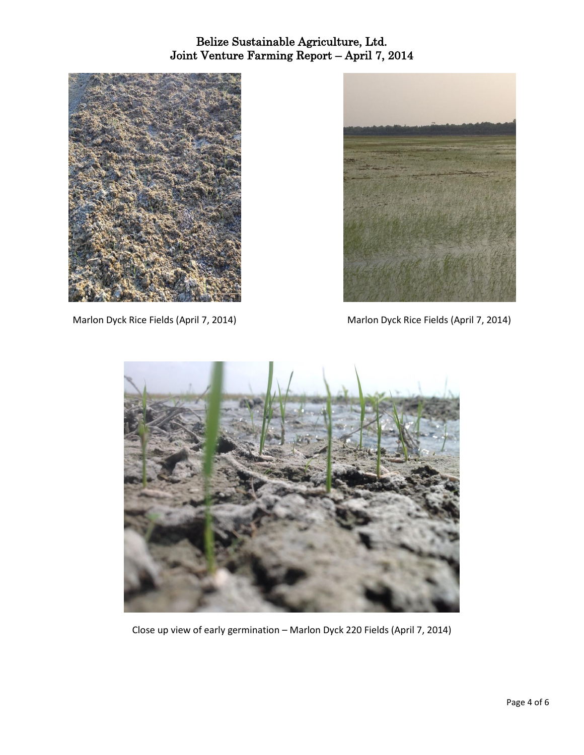

Marlon Dyck Rice Fields (April 7, 2014) Marlon Dyck Rice Fields (April 7, 2014)





Close up view of early germination – Marlon Dyck 220 Fields (April 7, 2014)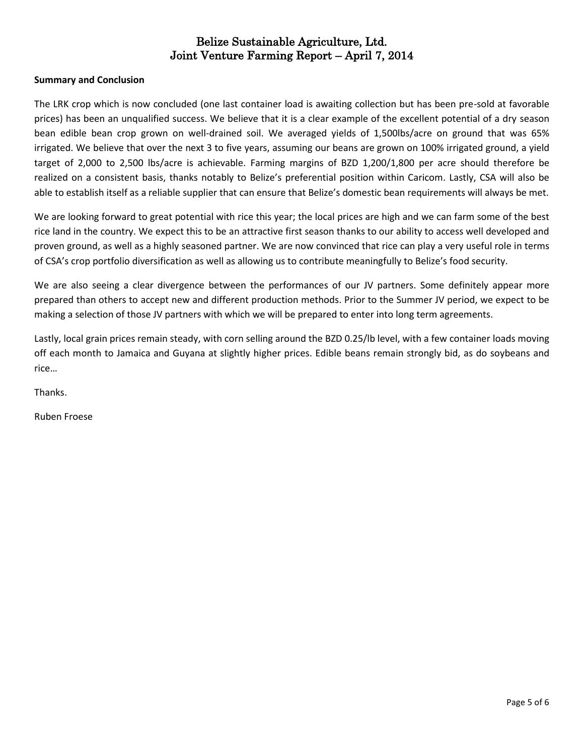## **Summary and Conclusion**

The LRK crop which is now concluded (one last container load is awaiting collection but has been pre-sold at favorable prices) has been an unqualified success. We believe that it is a clear example of the excellent potential of a dry season bean edible bean crop grown on well-drained soil. We averaged yields of 1,500lbs/acre on ground that was 65% irrigated. We believe that over the next 3 to five years, assuming our beans are grown on 100% irrigated ground, a yield target of 2,000 to 2,500 lbs/acre is achievable. Farming margins of BZD 1,200/1,800 per acre should therefore be realized on a consistent basis, thanks notably to Belize's preferential position within Caricom. Lastly, CSA will also be able to establish itself as a reliable supplier that can ensure that Belize's domestic bean requirements will always be met.

We are looking forward to great potential with rice this year; the local prices are high and we can farm some of the best rice land in the country. We expect this to be an attractive first season thanks to our ability to access well developed and proven ground, as well as a highly seasoned partner. We are now convinced that rice can play a very useful role in terms of CSA's crop portfolio diversification as well as allowing us to contribute meaningfully to Belize's food security.

We are also seeing a clear divergence between the performances of our JV partners. Some definitely appear more prepared than others to accept new and different production methods. Prior to the Summer JV period, we expect to be making a selection of those JV partners with which we will be prepared to enter into long term agreements.

Lastly, local grain prices remain steady, with corn selling around the BZD 0.25/lb level, with a few container loads moving off each month to Jamaica and Guyana at slightly higher prices. Edible beans remain strongly bid, as do soybeans and rice…

Thanks.

Ruben Froese